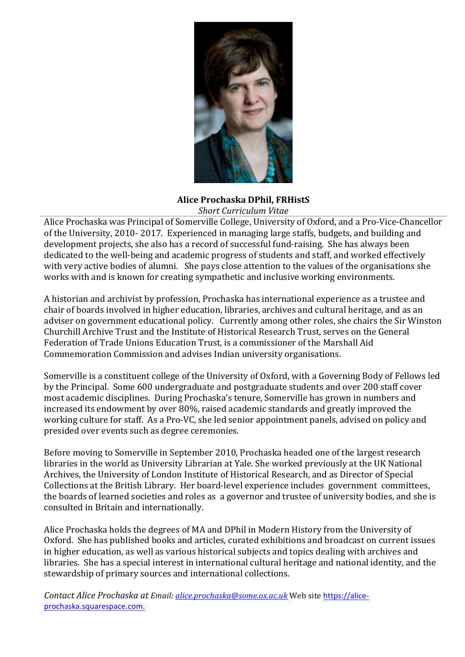

#### **Alice Prochaska DPhil, FRHistS** *Short Curriculum Vitae*

Alice Prochaska was Principal of Somerville College, University of Oxford, and a Pro-Vice-Chancellor of the University, 2010- 2017. Experienced in managing large staffs, budgets, and building and development projects, she also has a record of successful fund-raising. She has always been dedicated to the well-being and academic progress of students and staff, and worked effectively with very active bodies of alumni. She pays close attention to the values of the organisations she works with and is known for creating sympathetic and inclusive working environments.

A historian and archivist by profession, Prochaska has international experience as a trustee and chair of boards involved in higher education, libraries, archives and cultural heritage, and as an adviser on government educational policy. Currently among other roles, she chairs the Sir Winston Churchill Archive Trust and the Institute of Historical Research Trust, serves on the General Federation of Trade Unions Education Trust, is a commissioner of the Marshall Aid Commemoration Commission and advises Indian university organisations.

Somerville is a constituent college of the University of Oxford, with a Governing Body of Fellows led by the Principal. Some 600 undergraduate and postgraduate students and over 200 staff cover most academic disciplines. During Prochaska's tenure, Somerville has grown in numbers and increased its endowment by over 80%, raised academic standards and greatly improved the working culture for staff. As a Pro-VC, she led senior appointment panels, advised on policy and presided over events such as degree ceremonies.

Before moving to Somerville in September 2010, Prochaska headed one of the largest research libraries in the world as University Librarian at Yale. She worked previously at the UK National Archives, the University of London Institute of Historical Research, and as Director of Special Collections at the British Library. Her board-level experience includes government committees, the boards of learned societies and roles as a governor and trustee of university bodies, and she is consulted in Britain and internationally.

Alice Prochaska holds the degrees of MA and DPhil in Modern History from the University of Oxford. She has published books and articles, curated exhibitions and broadcast on current issues in higher education, as well as various historical subjects and topics dealing with archives and libraries. She has a special interest in international cultural heritage and national identity, and the stewardship of primary sources and international collections.

*Contact Alice Prochaska at Email: alice.prochaska@some.ox.ac.uk* Web site https://aliceprochaska.squarespace.com.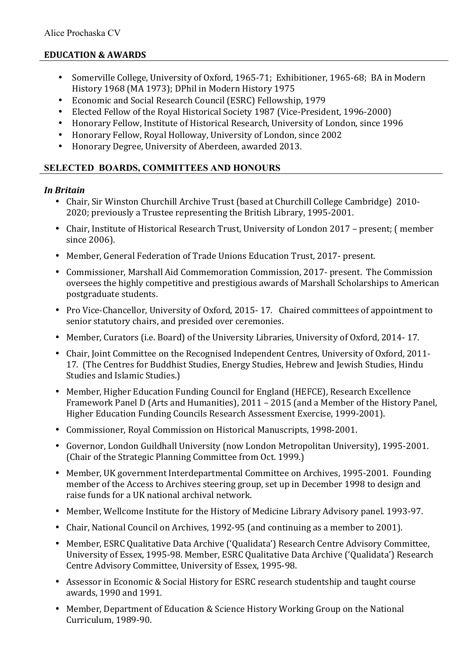## **EDUCATION & AWARDS**

- Somerville College, University of Oxford, 1965-71; Exhibitioner, 1965-68; BA in Modern History 1968 (MA 1973); DPhil in Modern History 1975
- Economic and Social Research Council (ESRC) Fellowship, 1979
- Elected Fellow of the Royal Historical Society 1987 (Vice-President, 1996-2000)
- Honorary Fellow, Institute of Historical Research, University of London, since 1996
- Honorary Fellow, Royal Holloway, University of London, since 2002
- Honorary Degree, University of Aberdeen, awarded 2013.

## **SELECTED BOARDS, COMMITTEES AND HONOURS**

### *In Britain*

- Chair, Sir Winston Churchill Archive Trust (based at Churchill College Cambridge) 2010-2020; previously a Trustee representing the British Library, 1995-2001.
- Chair, Institute of Historical Research Trust, University of London 2017 present; ( member since 2006).
- Member, General Federation of Trade Unions Education Trust, 2017- present.
- Commissioner, Marshall Aid Commemoration Commission, 2017- present. The Commission oversees the highly competitive and prestigious awards of Marshall Scholarships to American postgraduate students.
- Pro Vice-Chancellor, University of Oxford, 2015-17. Chaired committees of appointment to senior statutory chairs, and presided over ceremonies.
- Member, Curators (i.e. Board) of the University Libraries, University of Oxford, 2014-17.
- Chair, Joint Committee on the Recognised Independent Centres, University of Oxford, 2011-17. (The Centres for Buddhist Studies, Energy Studies, Hebrew and Jewish Studies, Hindu Studies and Islamic Studies.)
- Member, Higher Education Funding Council for England (HEFCE), Research Excellence Framework Panel D (Arts and Humanities), 2011 - 2015 (and a Member of the History Panel, Higher Education Funding Councils Research Assessment Exercise, 1999-2001).
- Commissioner, Royal Commission on Historical Manuscripts, 1998-2001.
- Governor, London Guildhall University (now London Metropolitan University), 1995-2001. (Chair of the Strategic Planning Committee from Oct. 1999.)
- Member, UK government Interdepartmental Committee on Archives, 1995-2001. Founding member of the Access to Archives steering group, set up in December 1998 to design and raise funds for a UK national archival network.
- Member, Wellcome Institute for the History of Medicine Library Advisory panel. 1993-97.
- Chair, National Council on Archives, 1992-95 (and continuing as a member to 2001).
- Member, ESRC Qualitative Data Archive ('Qualidata') Research Centre Advisory Committee, University of Essex, 1995-98. Member, ESRC Qualitative Data Archive ('Qualidata') Research Centre Advisory Committee, University of Essex, 1995-98.
- Assessor in Economic & Social History for ESRC research studentship and taught course awards, 1990 and 1991.
- Member, Department of Education & Science History Working Group on the National Curriculum, 1989-90.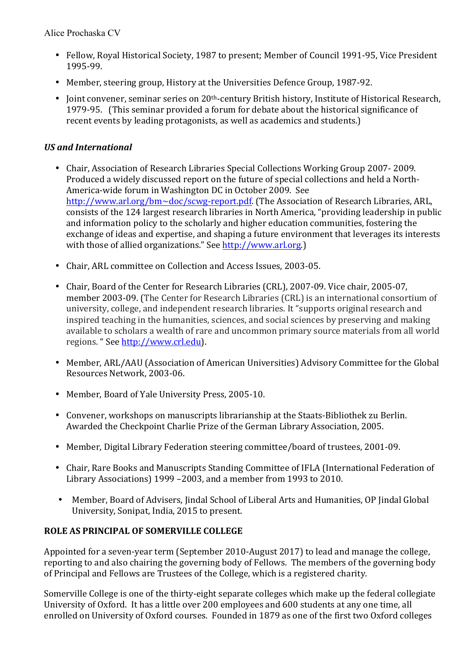- Fellow, Royal Historical Society, 1987 to present; Member of Council 1991-95, Vice President 1995-99.
- Member, steering group, History at the Universities Defence Group, 1987-92.
- Joint convener, seminar series on 20<sup>th</sup>-century British history, Institute of Historical Research, 1979-95. (This seminar provided a forum for debate about the historical significance of recent events by leading protagonists, as well as academics and students.)

## *US and International*

- Chair, Association of Research Libraries Special Collections Working Group 2007-2009. Produced a widely discussed report on the future of special collections and held a North-America-wide forum in Washington DC in October 2009. See http://www.arl.org/bm~doc/scwg-report.pdf. (The Association of Research Libraries, ARL, consists of the 124 largest research libraries in North America, "providing leadership in public and information policy to the scholarly and higher education communities, fostering the exchange of ideas and expertise, and shaping a future environment that leverages its interests with those of allied organizations." See http://www.arl.org.)
- Chair, ARL committee on Collection and Access Issues, 2003-05.
- Chair, Board of the Center for Research Libraries (CRL), 2007-09. Vice chair, 2005-07, member 2003-09. (The Center for Research Libraries (CRL) is an international consortium of university, college, and independent research libraries. It "supports original research and inspired teaching in the humanities, sciences, and social sciences by preserving and making available to scholars a wealth of rare and uncommon primary source materials from all world regions. " See http://www.crl.edu).
- Member, ARL/AAU (Association of American Universities) Advisory Committee for the Global Resources Network, 2003-06.
- Member, Board of Yale University Press, 2005-10.
- Convener, workshops on manuscripts librarianship at the Staats-Bibliothek zu Berlin. Awarded the Checkpoint Charlie Prize of the German Library Association, 2005.
- Member, Digital Library Federation steering committee/board of trustees, 2001-09.
- Chair, Rare Books and Manuscripts Standing Committee of IFLA (International Federation of Library Associations) 1999 -2003, and a member from 1993 to 2010.
- Member, Board of Advisers, Jindal School of Liberal Arts and Humanities, OP Jindal Global University, Sonipat, India, 2015 to present.

# **ROLE AS PRINCIPAL OF SOMERVILLE COLLEGE**

Appointed for a seven-year term (September 2010-August 2017) to lead and manage the college, reporting to and also chairing the governing body of Fellows. The members of the governing body of Principal and Fellows are Trustees of the College, which is a registered charity.

Somerville College is one of the thirty-eight separate colleges which make up the federal collegiate University of Oxford. It has a little over 200 employees and 600 students at any one time, all enrolled on University of Oxford courses. Founded in 1879 as one of the first two Oxford colleges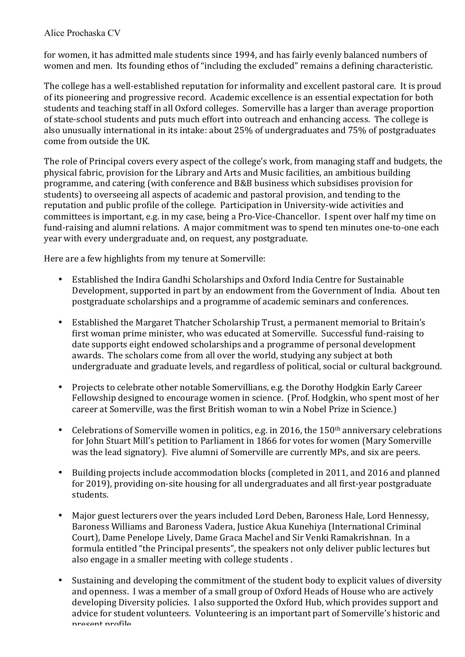for women, it has admitted male students since 1994, and has fairly evenly balanced numbers of women and men. Its founding ethos of "including the excluded" remains a defining characteristic.

The college has a well-established reputation for informality and excellent pastoral care. It is proud of its pioneering and progressive record. Academic excellence is an essential expectation for both students and teaching staff in all Oxford colleges. Somerville has a larger than average proportion of state-school students and puts much effort into outreach and enhancing access. The college is also unusually international in its intake: about 25% of undergraduates and 75% of postgraduates come from outside the UK.

The role of Principal covers every aspect of the college's work, from managing staff and budgets, the physical fabric, provision for the Library and Arts and Music facilities, an ambitious building programme, and catering (with conference and B&B business which subsidises provision for students) to overseeing all aspects of academic and pastoral provision, and tending to the reputation and public profile of the college. Participation in University-wide activities and committees is important, e.g. in my case, being a Pro-Vice-Chancellor. I spent over half my time on fund-raising and alumni relations. A major commitment was to spend ten minutes one-to-one each year with every undergraduate and, on request, any postgraduate.

Here are a few highlights from my tenure at Somerville:

- Established the Indira Gandhi Scholarships and Oxford India Centre for Sustainable Development, supported in part by an endowment from the Government of India. About ten postgraduate scholarships and a programme of academic seminars and conferences.
- Established the Margaret Thatcher Scholarship Trust, a permanent memorial to Britain's first woman prime minister, who was educated at Somerville. Successful fund-raising to date supports eight endowed scholarships and a programme of personal development awards. The scholars come from all over the world, studying any subject at both undergraduate and graduate levels, and regardless of political, social or cultural background.
- Projects to celebrate other notable Somervillians, e.g. the Dorothy Hodgkin Early Career Fellowship designed to encourage women in science. (Prof. Hodgkin, who spent most of her career at Somerville, was the first British woman to win a Nobel Prize in Science.)
- Celebrations of Somerville women in politics, e.g. in 2016, the  $150<sup>th</sup>$  anniversary celebrations for John Stuart Mill's petition to Parliament in 1866 for votes for women (Mary Somerville was the lead signatory). Five alumni of Somerville are currently MPs, and six are peers.
- Building projects include accommodation blocks (completed in 2011, and 2016 and planned for 2019), providing on-site housing for all undergraduates and all first-year postgraduate students.
- Major guest lecturers over the years included Lord Deben, Baroness Hale, Lord Hennessy, Baroness Williams and Baroness Vadera, Justice Akua Kunehiya (International Criminal Court), Dame Penelope Lively, Dame Graca Machel and Sir Venki Ramakrishnan. In a formula entitled "the Principal presents", the speakers not only deliver public lectures but also engage in a smaller meeting with college students.
- Sustaining and developing the commitment of the student body to explicit values of diversity and openness. I was a member of a small group of Oxford Heads of House who are actively developing Diversity policies. I also supported the Oxford Hub, which provides support and advice for student volunteers. Volunteering is an important part of Somerville's historic and present profile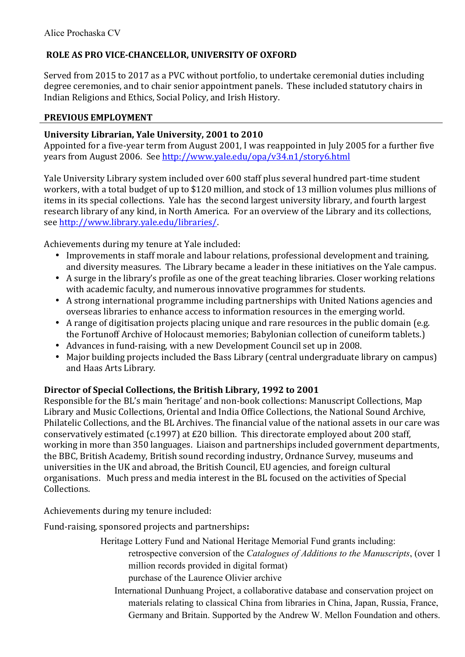# **ROLE AS PRO VICE-CHANCELLOR, UNIVERSITY OF OXFORD**

Served from 2015 to 2017 as a PVC without portfolio, to undertake ceremonial duties including degree ceremonies, and to chair senior appointment panels. These included statutory chairs in Indian Religions and Ethics, Social Policy, and Irish History.

## **PREVIOUS EMPLOYMENT**

## **University Librarian, Yale University, 2001 to 2010**

Appointed for a five-year term from August 2001, I was reappointed in July 2005 for a further five years from August 2006. See http://www.yale.edu/opa/v34.n1/story6.html

Yale University Library system included over 600 staff plus several hundred part-time student workers, with a total budget of up to \$120 million, and stock of 13 million volumes plus millions of items in its special collections. Yale has the second largest university library, and fourth largest research library of any kind, in North America. For an overview of the Library and its collections, see http://www.library.yale.edu/libraries/.

Achievements during my tenure at Yale included:

- Improvements in staff morale and labour relations, professional development and training, and diversity measures. The Library became a leader in these initiatives on the Yale campus.
- A surge in the library's profile as one of the great teaching libraries. Closer working relations with academic faculty, and numerous innovative programmes for students.
- A strong international programme including partnerships with United Nations agencies and overseas libraries to enhance access to information resources in the emerging world.
- A range of digitisation projects placing unique and rare resources in the public domain (e.g. the Fortunoff Archive of Holocaust memories; Babylonian collection of cuneiform tablets.)
- Advances in fund-raising, with a new Development Council set up in 2008.
- Major building projects included the Bass Library (central undergraduate library on campus) and Haas Arts Library.

## Director of Special Collections, the British Library, 1992 to 2001

Responsible for the BL's main 'heritage' and non-book collections: Manuscript Collections, Map Library and Music Collections, Oriental and India Office Collections, the National Sound Archive, Philatelic Collections, and the BL Archives. The financial value of the national assets in our care was conservatively estimated (c.1997) at £20 billion. This directorate employed about 200 staff, working in more than 350 languages. Liaison and partnerships included government departments, the BBC, British Academy, British sound recording industry, Ordnance Survey, museums and universities in the UK and abroad, the British Council, EU agencies, and foreign cultural organisations. Much press and media interest in the BL focused on the activities of Special Collections.

Achievements during my tenure included:

Fund-raising, sponsored projects and partnerships**:**

Heritage Lottery Fund and National Heritage Memorial Fund grants including: retrospective conversion of the *Catalogues of Additions to the Manuscripts*, (over 1 million records provided in digital format)

- purchase of the Laurence Olivier archive
- International Dunhuang Project, a collaborative database and conservation project on materials relating to classical China from libraries in China, Japan, Russia, France, Germany and Britain. Supported by the Andrew W. Mellon Foundation and others.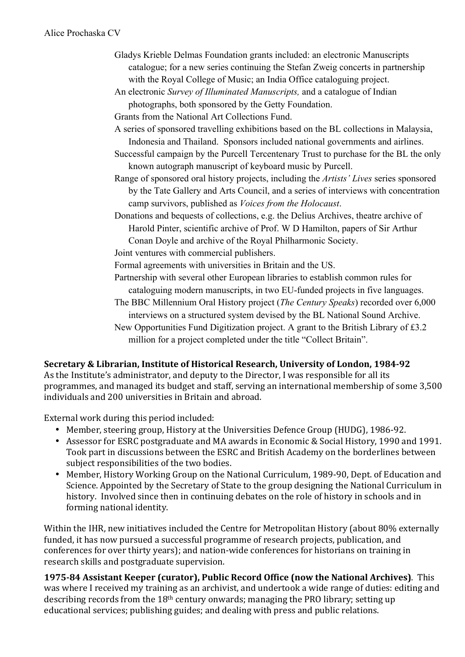- Gladys Krieble Delmas Foundation grants included: an electronic Manuscripts catalogue; for a new series continuing the Stefan Zweig concerts in partnership with the Royal College of Music; an India Office cataloguing project.
- An electronic *Survey of Illuminated Manuscripts,* and a catalogue of Indian photographs, both sponsored by the Getty Foundation.

Grants from the National Art Collections Fund.

- A series of sponsored travelling exhibitions based on the BL collections in Malaysia, Indonesia and Thailand. Sponsors included national governments and airlines.
- Successful campaign by the Purcell Tercentenary Trust to purchase for the BL the only known autograph manuscript of keyboard music by Purcell.
- Range of sponsored oral history projects, including the *Artists' Lives* series sponsored by the Tate Gallery and Arts Council, and a series of interviews with concentration camp survivors, published as *Voices from the Holocaust*.
- Donations and bequests of collections, e.g. the Delius Archives, theatre archive of Harold Pinter, scientific archive of Prof. W D Hamilton, papers of Sir Arthur Conan Doyle and archive of the Royal Philharmonic Society.

Joint ventures with commercial publishers.

- Formal agreements with universities in Britain and the US.
- Partnership with several other European libraries to establish common rules for cataloguing modern manuscripts, in two EU-funded projects in five languages.
- The BBC Millennium Oral History project (*The Century Speaks*) recorded over 6,000 interviews on a structured system devised by the BL National Sound Archive.
- New Opportunities Fund Digitization project. A grant to the British Library of £3.2 million for a project completed under the title "Collect Britain".

## **Secretary & Librarian, Institute of Historical Research, University of London, 1984-92**

As the Institute's administrator, and deputy to the Director, I was responsible for all its programmes, and managed its budget and staff, serving an international membership of some 3,500 individuals and 200 universities in Britain and abroad.

External work during this period included:

- Member, steering group, History at the Universities Defence Group (HUDG), 1986-92.
- Assessor for ESRC postgraduate and MA awards in Economic & Social History, 1990 and 1991. Took part in discussions between the ESRC and British Academy on the borderlines between subject responsibilities of the two bodies.
- Member, History Working Group on the National Curriculum, 1989-90, Dept. of Education and Science. Appointed by the Secretary of State to the group designing the National Curriculum in history. Involved since then in continuing debates on the role of history in schools and in forming national identity.

Within the IHR, new initiatives included the Centre for Metropolitan History (about 80% externally funded, it has now pursued a successful programme of research projects, publication, and conferences for over thirty years); and nation-wide conferences for historians on training in research skills and postgraduate supervision.

**1975-84 Assistant Keeper (curator), Public Record Office (now the National Archives)**. This was where I received my training as an archivist, and undertook a wide range of duties: editing and describing records from the  $18<sup>th</sup>$  century onwards; managing the PRO library; setting up educational services; publishing guides; and dealing with press and public relations.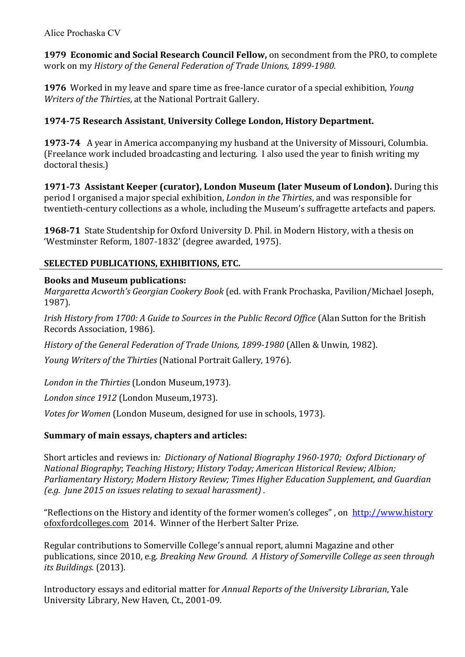**1979 Economic and Social Research Council Fellow,** on secondment from the PRO, to complete work on my *History of the General Federation of Trade Unions, 1899-1980.* 

**1976** Worked in my leave and spare time as free-lance curator of a special exhibition, *Young Writers of the Thirties*, at the National Portrait Gallery.

## **1974-75 Research Assistant, University College London, History Department.**

**1973-74** A year in America accompanying my husband at the University of Missouri, Columbia. (Freelance work included broadcasting and lecturing. I also used the vear to finish writing my doctoral thesis.)

**1971-73 Assistant Keeper (curator), London Museum (later Museum of London).** During this period I organised a major special exhibition, *London in the Thirties*, and was responsible for twentieth-century collections as a whole, including the Museum's suffragette artefacts and papers.

**1968-71** State Studentship for Oxford University D. Phil. in Modern History, with a thesis on 'Westminster Reform, 1807-1832' (degree awarded, 1975).

## **SELECTED PUBLICATIONS, EXHIBITIONS, ETC.**

## **Books and Museum publications:**

*Margaretta Acworth's Georgian Cookery Book* (ed. with Frank Prochaska, Pavilion/Michael Joseph, 1987).

*Irish History from 1700: A Guide to Sources in the Public Record Office* (Alan Sutton for the British Records Association, 1986).

*History of the General Federation of Trade Unions, 1899-1980* (Allen & Unwin, 1982).

*Young Writers of the Thirties* (National Portrait Gallery, 1976).

London in the Thirties (London Museum, 1973).

*London since 1912* (London Museum,1973).

*Votes for Women* (London Museum, designed for use in schools, 1973).

# **Summary of main essays, chapters and articles:**

Short articles and reviews in: *Dictionary of National Biography 1960-1970; Oxford Dictionary of National Biography; Teaching History; History Today; American Historical Review; Albion; Parliamentary History; Modern History Review; Times Higher Education Supplement, and Guardian (e.g. June 2015 on issues relating to sexual harassment) .* 

"Reflections on the History and identity of the former women's colleges", on http://www.history ofoxfordcolleges.com 2014. Winner of the Herbert Salter Prize.

Regular contributions to Somerville College's annual report, alumni Magazine and other publications, since 2010, e.g. *Breaking New Ground. A History of Somerville College as seen through its Buildings.* (2013)*.*

Introductory essays and editorial matter for *Annual Reports of the University Librarian*, Yale University Library, New Haven, Ct., 2001-09.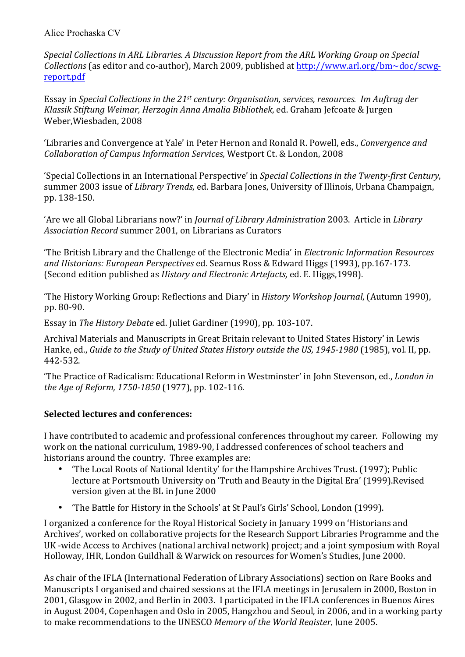*Special Collections in ARL Libraries. A Discussion Report from the ARL Working Group on Special Collections* (as editor and co-author), March 2009, published at http://www.arl.org/bm~doc/scwgreport.pdf

Essay in *Special Collections in the 21<sup>st</sup> century: Organisation, services, resources. Im Auftrag der Klassik Stiftung Weimar, Herzogin Anna Amalia Bibliothek*, ed. Graham Jefcoate & Jurgen Weber, Wiesbaden, 2008

Libraries and Convergence at Yale' in Peter Hernon and Ronald R. Powell, eds., *Convergence and Collaboration of Campus Information Services,* Westport Ct. & London, 2008

'Special Collections in an International Perspective' in *Special Collections in the Twenty-first Century*, summer 2003 issue of *Library Trends*, ed. Barbara Jones, University of Illinois, Urbana Champaign, pp. 138-150.

'Are we all Global Librarians now?' in *Journal of Library Administration* 2003. Article in *Library* Association Record summer 2001, on Librarians as Curators

"The British Library and the Challenge of the Electronic Media' in *Electronic Information Resources and Historians: European Perspectives* ed. Seamus Ross & Edward Higgs (1993), pp.167-173. (Second edition published as *History and Electronic Artefacts*, ed. E. Higgs,1998).

"The History Working Group: Reflections and Diary' in *History Workshop Journal*, (Autumn 1990), pp. 80-90.

Essay in *The History Debate* ed. Juliet Gardiner (1990), pp. 103-107.

Archival Materials and Manuscripts in Great Britain relevant to United States History' in Lewis Hanke, ed., *Guide to the Study of United States History outside the US, 1945-1980* (1985), vol. II, pp. 442-532.

The Practice of Radicalism: Educational Reform in Westminster' in John Stevenson, ed., *London in the Age of Reform, 1750-1850* (1977), pp. 102-116.

## **Selected lectures and conferences:**

I have contributed to academic and professional conferences throughout my career. Following my work on the national curriculum, 1989-90, I addressed conferences of school teachers and historians around the country. Three examples are:

- The Local Roots of National Identity' for the Hampshire Archives Trust. (1997); Public lecture at Portsmouth University on 'Truth and Beauty in the Digital Era' (1999).Revised version given at the BL in June 2000
- "The Battle for History in the Schools' at St Paul's Girls' School, London (1999).

I organized a conference for the Royal Historical Society in January 1999 on 'Historians and Archives', worked on collaborative projects for the Research Support Libraries Programme and the UK -wide Access to Archives (national archival network) project; and a joint symposium with Royal Holloway, IHR, London Guildhall & Warwick on resources for Women's Studies, June 2000.

As chair of the IFLA (International Federation of Library Associations) section on Rare Books and Manuscripts I organised and chaired sessions at the IFLA meetings in Jerusalem in 2000. Boston in 2001, Glasgow in 2002, and Berlin in 2003. I participated in the IFLA conferences in Buenos Aires in August 2004, Copenhagen and Oslo in 2005, Hangzhou and Seoul, in 2006, and in a working party to make recommendations to the UNESCO *Memory of the World Register*. June 2005.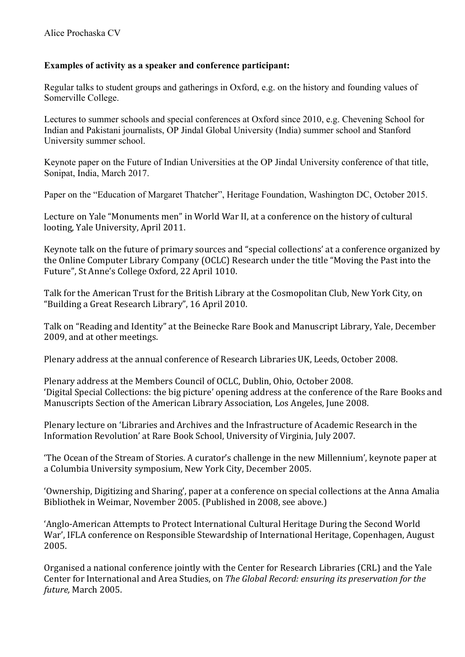### **Examples of activity as a speaker and conference participant:**

Regular talks to student groups and gatherings in Oxford, e.g. on the history and founding values of Somerville College.

Lectures to summer schools and special conferences at Oxford since 2010, e.g. Chevening School for Indian and Pakistani journalists, OP Jindal Global University (India) summer school and Stanford University summer school.

Keynote paper on the Future of Indian Universities at the OP Jindal University conference of that title, Sonipat, India, March 2017.

Paper on the "Education of Margaret Thatcher", Heritage Foundation, Washington DC, October 2015.

Lecture on Yale "Monuments men" in World War II, at a conference on the history of cultural looting, Yale University, April 2011.

Keynote talk on the future of primary sources and "special collections' at a conference organized by the Online Computer Library Company (OCLC) Research under the title "Moving the Past into the Future", St Anne's College Oxford, 22 April 1010.

Talk for the American Trust for the British Library at the Cosmopolitan Club, New York City, on "Building a Great Research Library", 16 April 2010.

Talk on "Reading and Identity" at the Beinecke Rare Book and Manuscript Library, Yale, December 2009, and at other meetings.

Plenary address at the annual conference of Research Libraries UK. Leeds. October 2008.

Plenary address at the Members Council of OCLC, Dublin, Ohio, October 2008. 'Digital Special Collections: the big picture' opening address at the conference of the Rare Books and Manuscripts Section of the American Library Association, Los Angeles, June 2008.

Plenary lecture on 'Libraries and Archives and the Infrastructure of Academic Research in the Information Revolution' at Rare Book School, University of Virginia, July 2007.

The Ocean of the Stream of Stories. A curator's challenge in the new Millennium', keynote paper at a Columbia University symposium, New York City, December 2005.

'Ownership, Digitizing and Sharing', paper at a conference on special collections at the Anna Amalia Bibliothek in Weimar, November 2005. (Published in 2008, see above.)

'Anglo-American Attempts to Protect International Cultural Heritage During the Second World War', IFLA conference on Responsible Stewardship of International Heritage, Copenhagen, August 2005.

Organised a national conference jointly with the Center for Research Libraries (CRL) and the Yale Center for International and Area Studies, on *The Global Record: ensuring its preservation for the future,* March 2005.